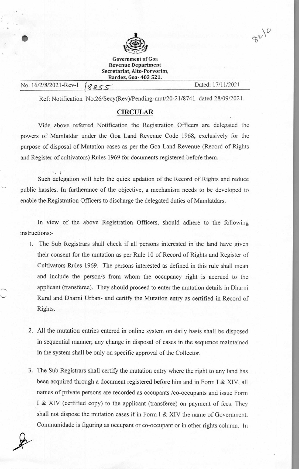

Government of Goa **Revenue Department Secretariat, Alto-Porvorim, Bardez, Goa- 403 521.** 

| No. 16/2/8/2021-Rev-I   8855 |  |
|------------------------------|--|
|------------------------------|--|

Dated: 17/11/2021

 $32/10$ 

Ref: Notification No.26/Secy(Rev)/Pending-mut/20-21/8741 dated 28/09/2021.

## **CIRCULAR**

Vide above referred Notification the Registration Officers are delegated the powers of Mamlatdar under the Goa Land Revenue Code 1968, exclusively for the purpose of disposal of Mutation cases as per the Goa Land Revenue (Record of Rights and Register of cultivators) Rules 1969 for documents registered before them.

• • Such delegation will help the quick updation of the Record of Rights and reduce public hassles. In furtherance of the objective, a mechanism needs to be developed to enable the Registration Officers to discharge the delegated duties of Mamlatdars.

In view of the above Registration Officers, should adhere to the following instructions:-

- 1. The Sub Registrars shall check if all persons interested in the land have given their consent for the mutation as per Rule 10 of Record of Rights and Register of Cultivators Rules 1969. The persons interested as defined in this rule shall mean and include the person/s from whom the occupancy right is accrued to the applicant (transferee). They should proceed to enter the mutation details in Dharni Rural and Dharni Urban- and certify the Mutation entry as certified in Record of Rights.
- 2. All the mutation entries entered in online system on daily basis shall be disposed in sequential manner; any change in disposal of cases in the sequence maintained in the system shall be only on specific approval of the Collector.
- 3. The Sub Registrars shall certify the mutation entry where the right to any land has been acquired through a document registered before him and in Form I & XIV. all names of private persons are recorded as occupants /co-occupants and issue Form I & XIV (certified copy) to the applicant (transferee) on payment of fees. They shall not dispose the mutation cases if in Form I & XIV the name of Government, Communidade is figuring as occupant or co-occupant or in other rights column. In